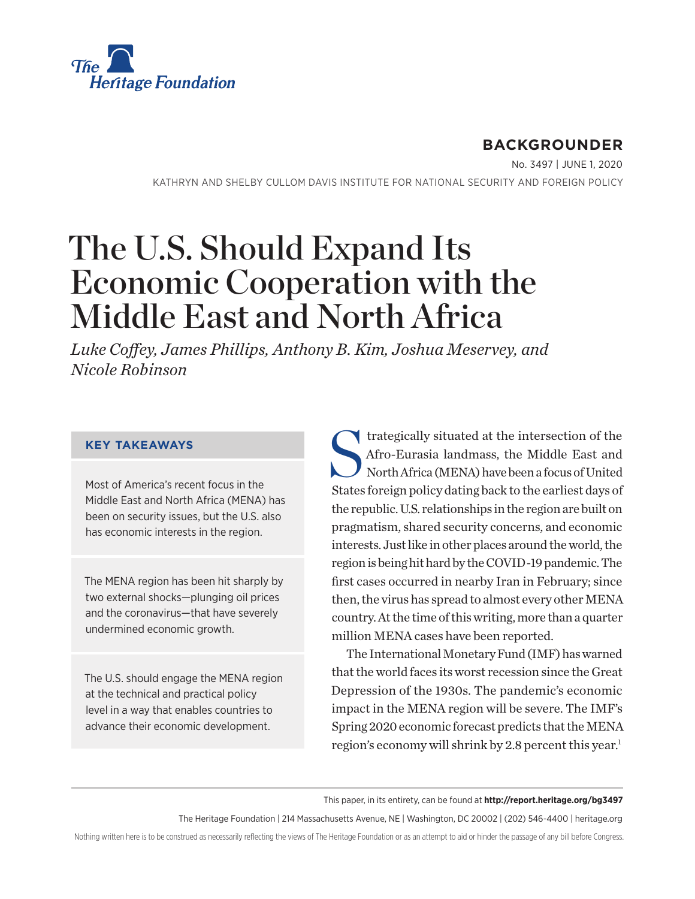

# **BACKGROUNDER**

No. 3497 | June 1, 2020

KATHRYN AND SHELBY CULLOM DAVIS INSTITUTE FOR NATIONAL SECURITY AND FOREIGN POLICY

# The U.S. Should Expand Its Economic Cooperation with the Middle East and North Africa

*Luke Coffey, James Phillips, Anthony B. Kim, Joshua Meservey, and Nicole Robinson*

#### **KEY TAKEAWAYS**

Most of America's recent focus in the Middle East and North Africa (MENA) has been on security issues, but the U.S. also has economic interests in the region.

The MENA region has been hit sharply by two external shocks—plunging oil prices and the coronavirus—that have severely undermined economic growth.

The U.S. should engage the MENA region at the technical and practical policy level in a way that enables countries to advance their economic development.

Intersection of the Strategically situated at the intersection of the Afro-Eurasia landmass, the Middle East and North Africa (MENA) have been a focus of United Afro-Eurasia landmass, the Middle East and North Africa (MENA) have been a focus of United States foreign policy dating back to the earliest days of the republic. U.S. relationships in the region are built on pragmatism, shared security concerns, and economic interests. Just like in other places around the world, the region is being hit hard by the COVID-19 pandemic. The first cases occurred in nearby Iran in February; since then, the virus has spread to almost every other MENA country. At the time of this writing, more than a quarter million MENA cases have been reported.

The International Monetary Fund (IMF) has warned that the world faces its worst recession since the Great Depression of the 1930s. The pandemic's economic impact in the MENA region will be severe. The IMF's Spring 2020 economic forecast predicts that the MENA region's economy will shrink by 2.8 percent this year.<sup>1</sup>

This paper, in its entirety, can be found at **http://report.heritage.org/bg3497**

The Heritage Foundation | 214 Massachusetts Avenue, NE | Washington, DC 20002 | (202) 546-4400 | heritage.org

Nothing written here is to be construed as necessarily reflecting the views of The Heritage Foundation or as an attempt to aid or hinder the passage of any bill before Congress.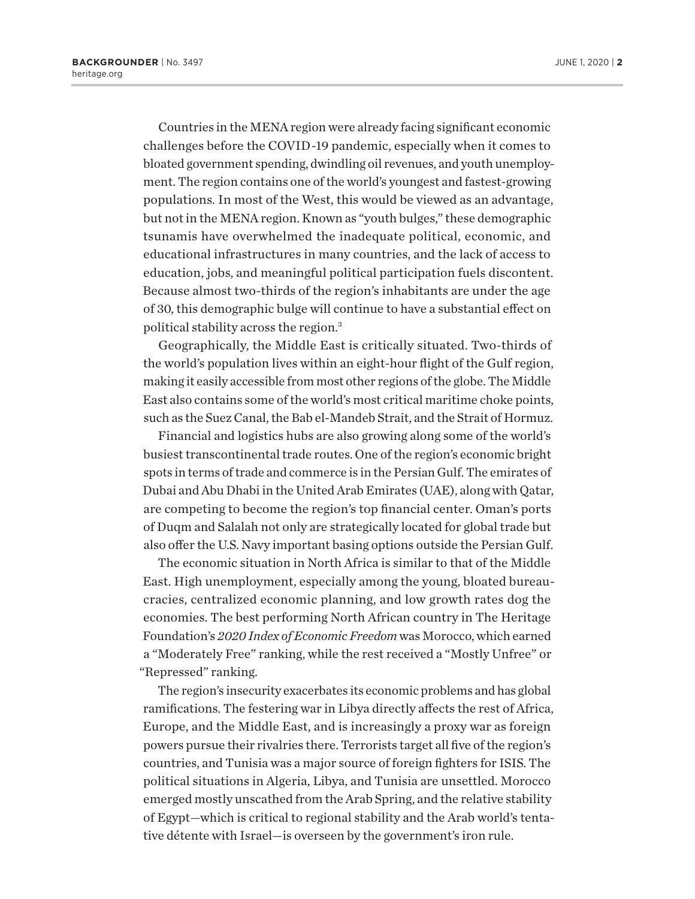Countries in the MENA region were already facing significant economic challenges before the COVID-19 pandemic, especially when it comes to bloated government spending, dwindling oil revenues, and youth unemployment. The region contains one of the world's youngest and fastest-growing populations. In most of the West, this would be viewed as an advantage, but not in the MENA region. Known as "youth bulges," these demographic tsunamis have overwhelmed the inadequate political, economic, and educational infrastructures in many countries, and the lack of access to education, jobs, and meaningful political participation fuels discontent. Because almost two-thirds of the region's inhabitants are under the age of 30, this demographic bulge will continue to have a substantial effect on political stability across the region.3

Geographically, the Middle East is critically situated. Two-thirds of the world's population lives within an eight-hour flight of the Gulf region, making it easily accessible from most other regions of the globe. The Middle East also contains some of the world's most critical maritime choke points, such as the Suez Canal, the Bab el-Mandeb Strait, and the Strait of Hormuz.

Financial and logistics hubs are also growing along some of the world's busiest transcontinental trade routes. One of the region's economic bright spots in terms of trade and commerce is in the Persian Gulf. The emirates of Dubai and Abu Dhabi in the United Arab Emirates (UAE), along with Qatar, are competing to become the region's top financial center. Oman's ports of Duqm and Salalah not only are strategically located for global trade but also offer the U.S. Navy important basing options outside the Persian Gulf.

The economic situation in North Africa is similar to that of the Middle East. High unemployment, especially among the young, bloated bureaucracies, centralized economic planning, and low growth rates dog the economies. The best performing North African country in The Heritage Foundation's *2020 Index of Economic Freedom* was Morocco, which earned a "Moderately Free" ranking, while the rest received a "Mostly Unfree" or "Repressed" ranking.

The region's insecurity exacerbates its economic problems and has global ramifications. The festering war in Libya directly affects the rest of Africa, Europe, and the Middle East, and is increasingly a proxy war as foreign powers pursue their rivalries there. Terrorists target all five of the region's countries, and Tunisia was a major source of foreign fighters for ISIS. The political situations in Algeria, Libya, and Tunisia are unsettled. Morocco emerged mostly unscathed from the Arab Spring, and the relative stability of Egypt—which is critical to regional stability and the Arab world's tentative détente with Israel—is overseen by the government's iron rule.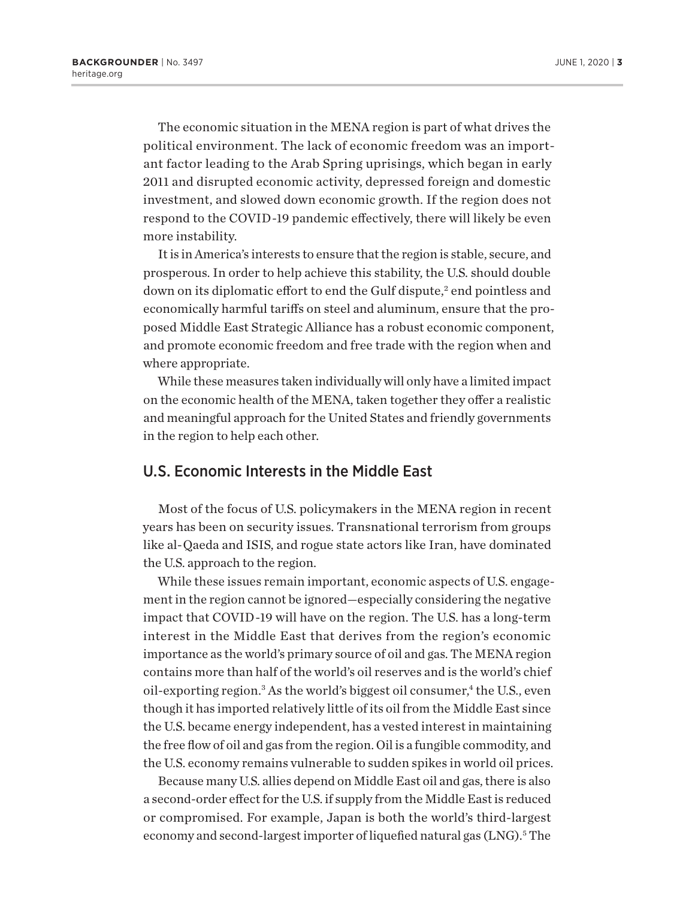The economic situation in the MENA region is part of what drives the political environment. The lack of economic freedom was an important factor leading to the Arab Spring uprisings, which began in early 2011 and disrupted economic activity, depressed foreign and domestic investment, and slowed down economic growth. If the region does not respond to the COVID-19 pandemic effectively, there will likely be even more instability.

It is in America's interests to ensure that the region is stable, secure, and prosperous. In order to help achieve this stability, the U.S. should double down on its diplomatic effort to end the Gulf dispute,<sup>2</sup> end pointless and economically harmful tariffs on steel and aluminum, ensure that the proposed Middle East Strategic Alliance has a robust economic component, and promote economic freedom and free trade with the region when and where appropriate.

While these measures taken individually will only have a limited impact on the economic health of the MENA, taken together they offer a realistic and meaningful approach for the United States and friendly governments in the region to help each other.

#### U.S. Economic Interests in the Middle East

Most of the focus of U.S. policymakers in the MENA region in recent years has been on security issues. Transnational terrorism from groups like al-Qaeda and ISIS, and rogue state actors like Iran, have dominated the U.S. approach to the region.

While these issues remain important, economic aspects of U.S. engagement in the region cannot be ignored—especially considering the negative impact that COVID-19 will have on the region. The U.S. has a long-term interest in the Middle East that derives from the region's economic importance as the world's primary source of oil and gas. The MENA region contains more than half of the world's oil reserves and is the world's chief oil-exporting region.<sup>3</sup> As the world's biggest oil consumer,<sup>4</sup> the U.S., even though it has imported relatively little of its oil from the Middle East since the U.S. became energy independent, has a vested interest in maintaining the free flow of oil and gas from the region. Oil is a fungible commodity, and the U.S. economy remains vulnerable to sudden spikes in world oil prices.

Because many U.S. allies depend on Middle East oil and gas, there is also a second-order effect for the U.S. if supply from the Middle East is reduced or compromised. For example, Japan is both the world's third-largest economy and second-largest importer of liquefied natural gas (LNG).<sup>5</sup> The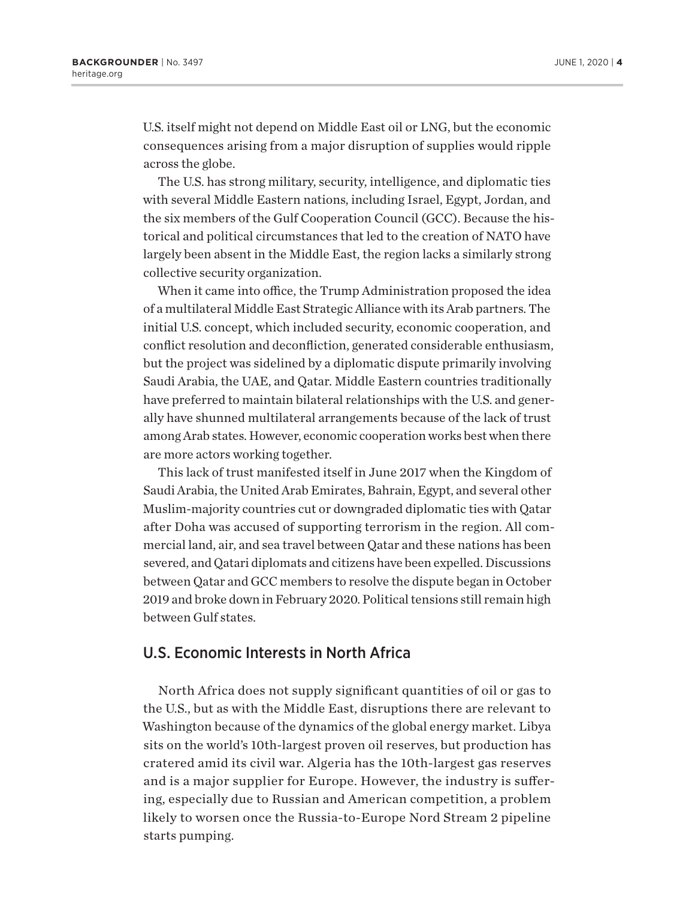U.S. itself might not depend on Middle East oil or LNG, but the economic consequences arising from a major disruption of supplies would ripple across the globe.

The U.S. has strong military, security, intelligence, and diplomatic ties with several Middle Eastern nations, including Israel, Egypt, Jordan, and the six members of the Gulf Cooperation Council (GCC). Because the historical and political circumstances that led to the creation of NATO have largely been absent in the Middle East, the region lacks a similarly strong collective security organization.

When it came into office, the Trump Administration proposed the idea of a multilateral Middle East Strategic Alliance with its Arab partners. The initial U.S. concept, which included security, economic cooperation, and conflict resolution and deconfliction, generated considerable enthusiasm, but the project was sidelined by a diplomatic dispute primarily involving Saudi Arabia, the UAE, and Qatar. Middle Eastern countries traditionally have preferred to maintain bilateral relationships with the U.S. and generally have shunned multilateral arrangements because of the lack of trust among Arab states. However, economic cooperation works best when there are more actors working together.

This lack of trust manifested itself in June 2017 when the Kingdom of Saudi Arabia, the United Arab Emirates, Bahrain, Egypt, and several other Muslim-majority countries cut or downgraded diplomatic ties with Qatar after Doha was accused of supporting terrorism in the region. All commercial land, air, and sea travel between Qatar and these nations has been severed, and Qatari diplomats and citizens have been expelled. Discussions between Qatar and GCC members to resolve the dispute began in October 2019 and broke down in February 2020. Political tensions still remain high between Gulf states.

#### U.S. Economic Interests in North Africa

North Africa does not supply significant quantities of oil or gas to the U.S., but as with the Middle East, disruptions there are relevant to Washington because of the dynamics of the global energy market. Libya sits on the world's 10th-largest proven oil reserves, but production has cratered amid its civil war. Algeria has the 10th-largest gas reserves and is a major supplier for Europe. However, the industry is suffering, especially due to Russian and American competition, a problem likely to worsen once the Russia-to-Europe Nord Stream 2 pipeline starts pumping.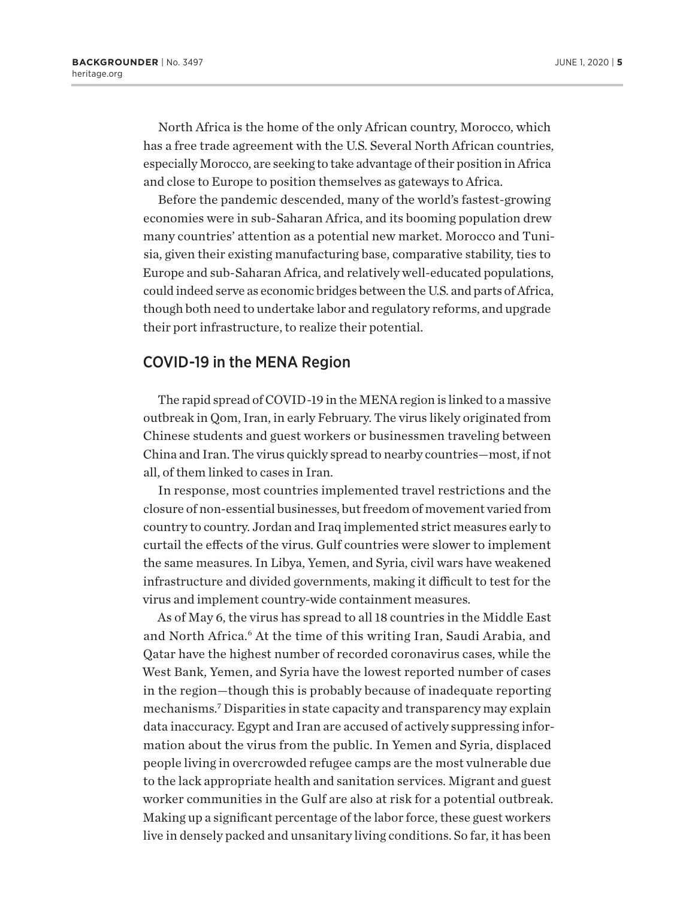North Africa is the home of the only African country, Morocco, which has a free trade agreement with the U.S. Several North African countries, especially Morocco, are seeking to take advantage of their position in Africa and close to Europe to position themselves as gateways to Africa.

Before the pandemic descended, many of the world's fastest-growing economies were in sub-Saharan Africa, and its booming population drew many countries' attention as a potential new market. Morocco and Tunisia, given their existing manufacturing base, comparative stability, ties to Europe and sub-Saharan Africa, and relatively well-educated populations, could indeed serve as economic bridges between the U.S. and parts of Africa, though both need to undertake labor and regulatory reforms, and upgrade their port infrastructure, to realize their potential.

#### COVID-19 in the MENA Region

The rapid spread of COVID-19 in the MENA region is linked to a massive outbreak in Qom, Iran, in early February. The virus likely originated from Chinese students and guest workers or businessmen traveling between China and Iran. The virus quickly spread to nearby countries—most, if not all, of them linked to cases in Iran.

In response, most countries implemented travel restrictions and the closure of non-essential businesses, but freedom of movement varied from country to country. Jordan and Iraq implemented strict measures early to curtail the effects of the virus. Gulf countries were slower to implement the same measures. In Libya, Yemen, and Syria, civil wars have weakened infrastructure and divided governments, making it difficult to test for the virus and implement country-wide containment measures.

As of May 6, the virus has spread to all 18 countries in the Middle East and North Africa.<sup>6</sup> At the time of this writing Iran, Saudi Arabia, and Qatar have the highest number of recorded coronavirus cases, while the West Bank, Yemen, and Syria have the lowest reported number of cases in the region—though this is probably because of inadequate reporting mechanisms.7 Disparities in state capacity and transparency may explain data inaccuracy. Egypt and Iran are accused of actively suppressing information about the virus from the public. In Yemen and Syria, displaced people living in overcrowded refugee camps are the most vulnerable due to the lack appropriate health and sanitation services. Migrant and guest worker communities in the Gulf are also at risk for a potential outbreak. Making up a significant percentage of the labor force, these guest workers live in densely packed and unsanitary living conditions. So far, it has been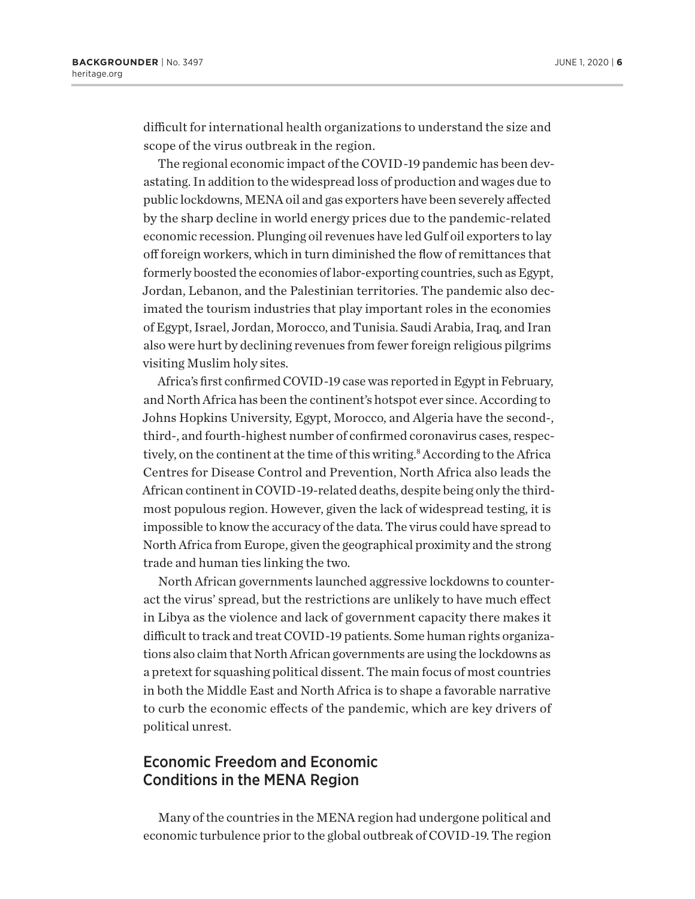difficult for international health organizations to understand the size and scope of the virus outbreak in the region.

The regional economic impact of the COVID-19 pandemic has been devastating. In addition to the widespread loss of production and wages due to public lockdowns, MENA oil and gas exporters have been severely affected by the sharp decline in world energy prices due to the pandemic-related economic recession. Plunging oil revenues have led Gulf oil exporters to lay off foreign workers, which in turn diminished the flow of remittances that formerly boosted the economies of labor-exporting countries, such as Egypt, Jordan, Lebanon, and the Palestinian territories. The pandemic also decimated the tourism industries that play important roles in the economies of Egypt, Israel, Jordan, Morocco, and Tunisia. Saudi Arabia, Iraq, and Iran also were hurt by declining revenues from fewer foreign religious pilgrims visiting Muslim holy sites.

Africa's first confirmed COVID-19 case was reported in Egypt in February, and North Africa has been the continent's hotspot ever since. According to Johns Hopkins University, Egypt, Morocco, and Algeria have the second-, third-, and fourth-highest number of confirmed coronavirus cases, respectively, on the continent at the time of this writing.<sup>8</sup> According to the Africa Centres for Disease Control and Prevention, North Africa also leads the African continent in COVID-19-related deaths, despite being only the thirdmost populous region. However, given the lack of widespread testing, it is impossible to know the accuracy of the data. The virus could have spread to North Africa from Europe, given the geographical proximity and the strong trade and human ties linking the two.

North African governments launched aggressive lockdowns to counteract the virus' spread, but the restrictions are unlikely to have much effect in Libya as the violence and lack of government capacity there makes it difficult to track and treat COVID-19 patients. Some human rights organizations also claim that North African governments are using the lockdowns as a pretext for squashing political dissent. The main focus of most countries in both the Middle East and North Africa is to shape a favorable narrative to curb the economic effects of the pandemic, which are key drivers of political unrest.

## Economic Freedom and Economic Conditions in the MENA Region

Many of the countries in the MENA region had undergone political and economic turbulence prior to the global outbreak of COVID-19. The region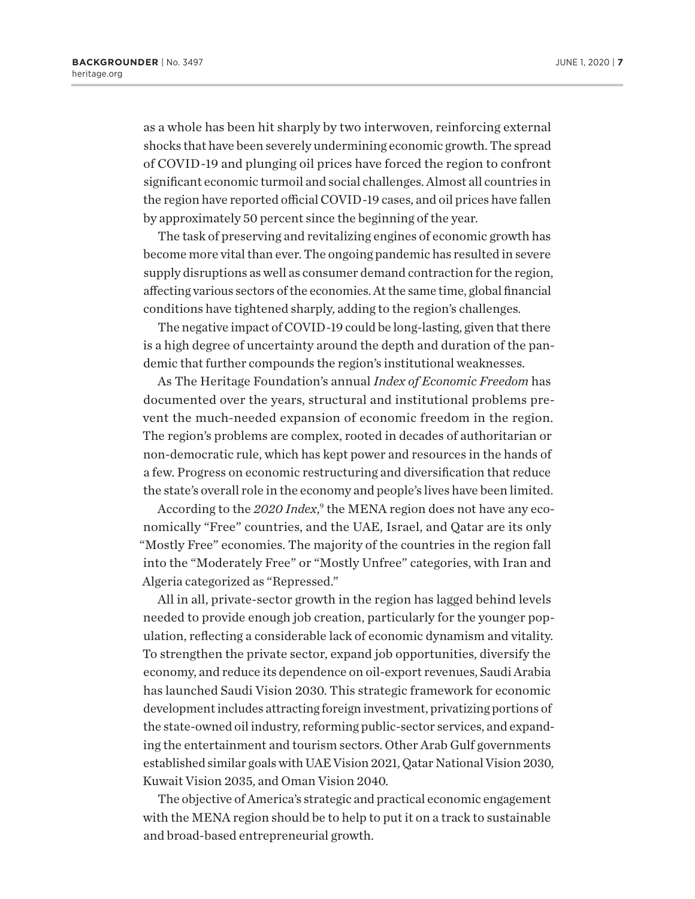as a whole has been hit sharply by two interwoven, reinforcing external shocks that have been severely undermining economic growth. The spread of COVID-19 and plunging oil prices have forced the region to confront significant economic turmoil and social challenges. Almost all countries in the region have reported official COVID-19 cases, and oil prices have fallen by approximately 50 percent since the beginning of the year.

The task of preserving and revitalizing engines of economic growth has become more vital than ever. The ongoing pandemic has resulted in severe supply disruptions as well as consumer demand contraction for the region, affecting various sectors of the economies. At the same time, global financial conditions have tightened sharply, adding to the region's challenges.

The negative impact of COVID-19 could be long-lasting, given that there is a high degree of uncertainty around the depth and duration of the pandemic that further compounds the region's institutional weaknesses.

As The Heritage Foundation's annual *Index of Economic Freedom* has documented over the years, structural and institutional problems prevent the much-needed expansion of economic freedom in the region. The region's problems are complex, rooted in decades of authoritarian or non-democratic rule, which has kept power and resources in the hands of a few. Progress on economic restructuring and diversification that reduce the state's overall role in the economy and people's lives have been limited.

According to the 2020 Index,<sup>9</sup> the MENA region does not have any economically "Free" countries, and the UAE, Israel, and Qatar are its only "Mostly Free" economies. The majority of the countries in the region fall into the "Moderately Free" or "Mostly Unfree" categories, with Iran and Algeria categorized as "Repressed."

All in all, private-sector growth in the region has lagged behind levels needed to provide enough job creation, particularly for the younger population, reflecting a considerable lack of economic dynamism and vitality. To strengthen the private sector, expand job opportunities, diversify the economy, and reduce its dependence on oil-export revenues, Saudi Arabia has launched Saudi Vision 2030. This strategic framework for economic development includes attracting foreign investment, privatizing portions of the state-owned oil industry, reforming public-sector services, and expanding the entertainment and tourism sectors. Other Arab Gulf governments established similar goals with UAE Vision 2021, Qatar National Vision 2030, Kuwait Vision 2035, and Oman Vision 2040.

The objective of America's strategic and practical economic engagement with the MENA region should be to help to put it on a track to sustainable and broad-based entrepreneurial growth.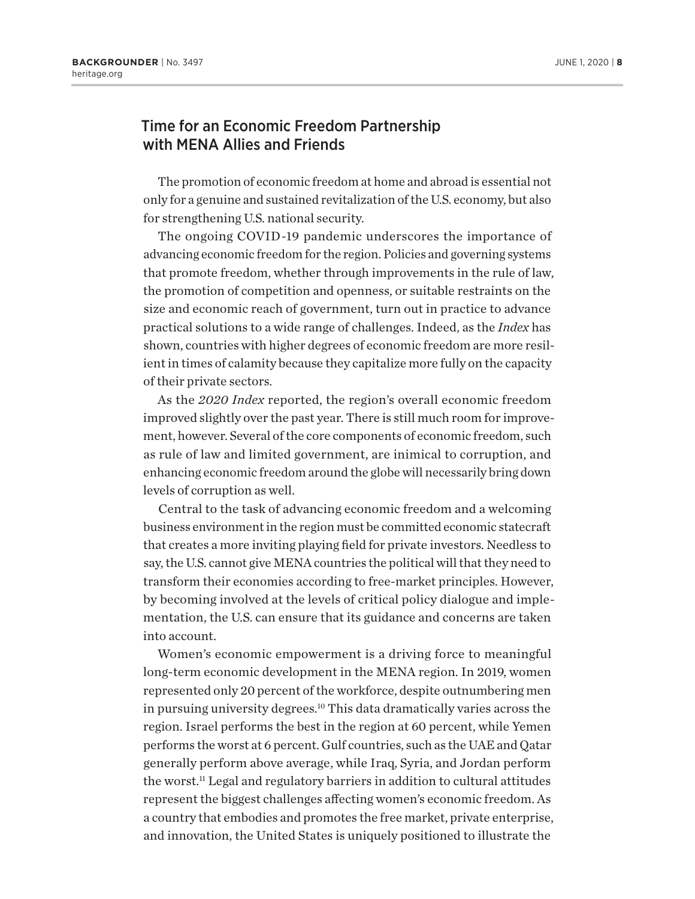## Time for an Economic Freedom Partnership with MENA Allies and Friends

The promotion of economic freedom at home and abroad is essential not only for a genuine and sustained revitalization of the U.S. economy, but also for strengthening U.S. national security.

The ongoing COVID-19 pandemic underscores the importance of advancing economic freedom for the region. Policies and governing systems that promote freedom, whether through improvements in the rule of law, the promotion of competition and openness, or suitable restraints on the size and economic reach of government, turn out in practice to advance practical solutions to a wide range of challenges. Indeed, as the *Index* has shown, countries with higher degrees of economic freedom are more resilient in times of calamity because they capitalize more fully on the capacity of their private sectors.

As the *2020 Index* reported, the region's overall economic freedom improved slightly over the past year. There is still much room for improvement, however. Several of the core components of economic freedom, such as rule of law and limited government, are inimical to corruption, and enhancing economic freedom around the globe will necessarily bring down levels of corruption as well.

Central to the task of advancing economic freedom and a welcoming business environment in the region must be committed economic statecraft that creates a more inviting playing field for private investors. Needless to say, the U.S. cannot give MENA countries the political will that they need to transform their economies according to free-market principles. However, by becoming involved at the levels of critical policy dialogue and implementation, the U.S. can ensure that its guidance and concerns are taken into account.

Women's economic empowerment is a driving force to meaningful long-term economic development in the MENA region. In 2019, women represented only 20 percent of the workforce, despite outnumbering men in pursuing university degrees.10 This data dramatically varies across the region. Israel performs the best in the region at 60 percent, while Yemen performs the worst at 6 percent. Gulf countries, such as the UAE and Qatar generally perform above average, while Iraq, Syria, and Jordan perform the worst.11 Legal and regulatory barriers in addition to cultural attitudes represent the biggest challenges affecting women's economic freedom. As a country that embodies and promotes the free market, private enterprise, and innovation, the United States is uniquely positioned to illustrate the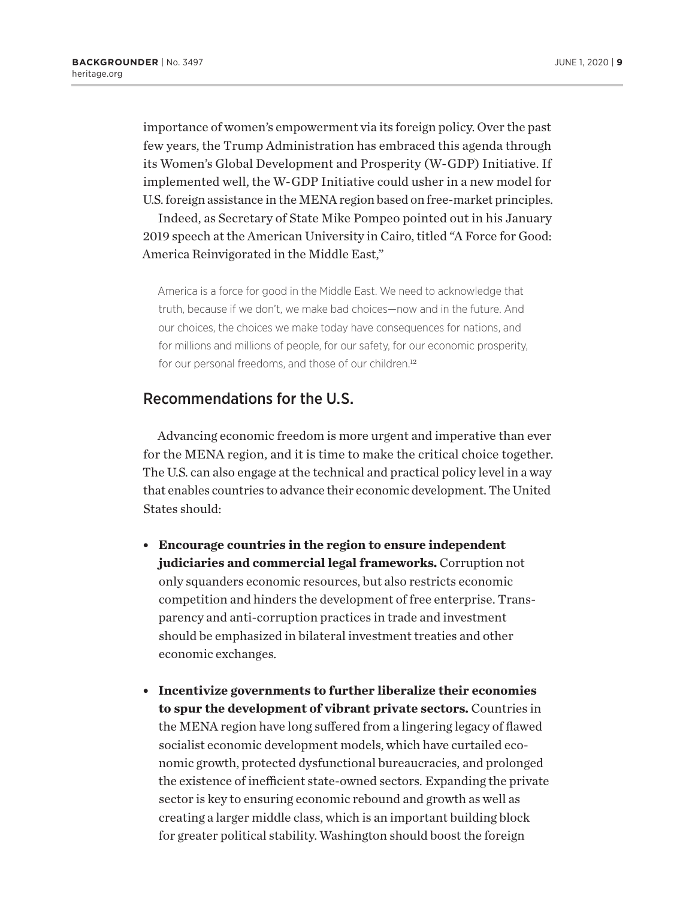importance of women's empowerment via its foreign policy. Over the past few years, the Trump Administration has embraced this agenda through its Women's Global Development and Prosperity (W-GDP) Initiative. If implemented well, the W-GDP Initiative could usher in a new model for U.S. foreign assistance in the MENA region based on free-market principles.

Indeed, as Secretary of State Mike Pompeo pointed out in his January 2019 speech at the American University in Cairo, titled "A Force for Good: America Reinvigorated in the Middle East,"

America is a force for good in the Middle East. We need to acknowledge that truth, because if we don't, we make bad choices—now and in the future. And our choices, the choices we make today have consequences for nations, and for millions and millions of people, for our safety, for our economic prosperity, for our personal freedoms, and those of our children.<sup>12</sup>

## Recommendations for the U.S.

Advancing economic freedom is more urgent and imperative than ever for the MENA region, and it is time to make the critical choice together. The U.S. can also engage at the technical and practical policy level in a way that enables countries to advance their economic development. The United States should:

- **Encourage countries in the region to ensure independent judiciaries and commercial legal frameworks.** Corruption not only squanders economic resources, but also restricts economic competition and hinders the development of free enterprise. Transparency and anti-corruption practices in trade and investment should be emphasized in bilateral investment treaties and other economic exchanges.
- **Incentivize governments to further liberalize their economies to spur the development of vibrant private sectors.** Countries in the MENA region have long suffered from a lingering legacy of flawed socialist economic development models, which have curtailed economic growth, protected dysfunctional bureaucracies, and prolonged the existence of inefficient state-owned sectors. Expanding the private sector is key to ensuring economic rebound and growth as well as creating a larger middle class, which is an important building block for greater political stability. Washington should boost the foreign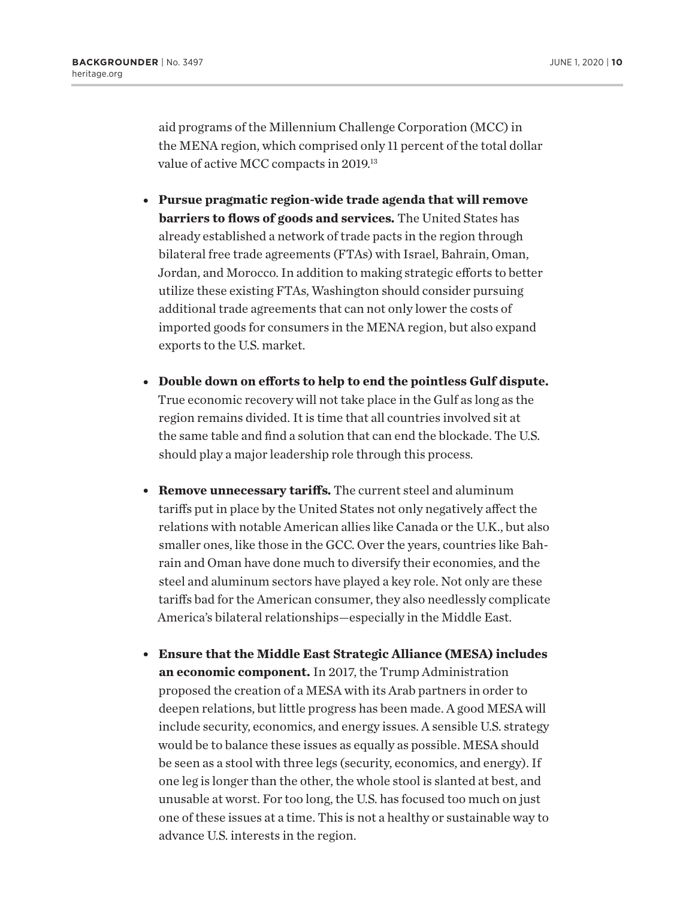aid programs of the Millennium Challenge Corporation (MCC) in the MENA region, which comprised only 11 percent of the total dollar value of active MCC compacts in 2019.<sup>13</sup>

- <sup>l</sup> **Pursue pragmatic region-wide trade agenda that will remove barriers to flows of goods and services.** The United States has already established a network of trade pacts in the region through bilateral free trade agreements (FTAs) with Israel, Bahrain, Oman, Jordan, and Morocco. In addition to making strategic efforts to better utilize these existing FTAs, Washington should consider pursuing additional trade agreements that can not only lower the costs of imported goods for consumers in the MENA region, but also expand exports to the U.S. market.
- **Double down on efforts to help to end the pointless Gulf dispute.** True economic recovery will not take place in the Gulf as long as the region remains divided. It is time that all countries involved sit at the same table and find a solution that can end the blockade. The U.S. should play a major leadership role through this process.
- **Remove unnecessary tariffs.** The current steel and aluminum tariffs put in place by the United States not only negatively affect the relations with notable American allies like Canada or the U.K., but also smaller ones, like those in the GCC. Over the years, countries like Bahrain and Oman have done much to diversify their economies, and the steel and aluminum sectors have played a key role. Not only are these tariffs bad for the American consumer, they also needlessly complicate America's bilateral relationships—especially in the Middle East.
- <sup>l</sup> **Ensure that the Middle East Strategic Alliance (MESA) includes an economic component.** In 2017, the Trump Administration proposed the creation of a MESA with its Arab partners in order to deepen relations, but little progress has been made. A good MESA will include security, economics, and energy issues. A sensible U.S. strategy would be to balance these issues as equally as possible. MESA should be seen as a stool with three legs (security, economics, and energy). If one leg is longer than the other, the whole stool is slanted at best, and unusable at worst. For too long, the U.S. has focused too much on just one of these issues at a time. This is not a healthy or sustainable way to advance U.S. interests in the region.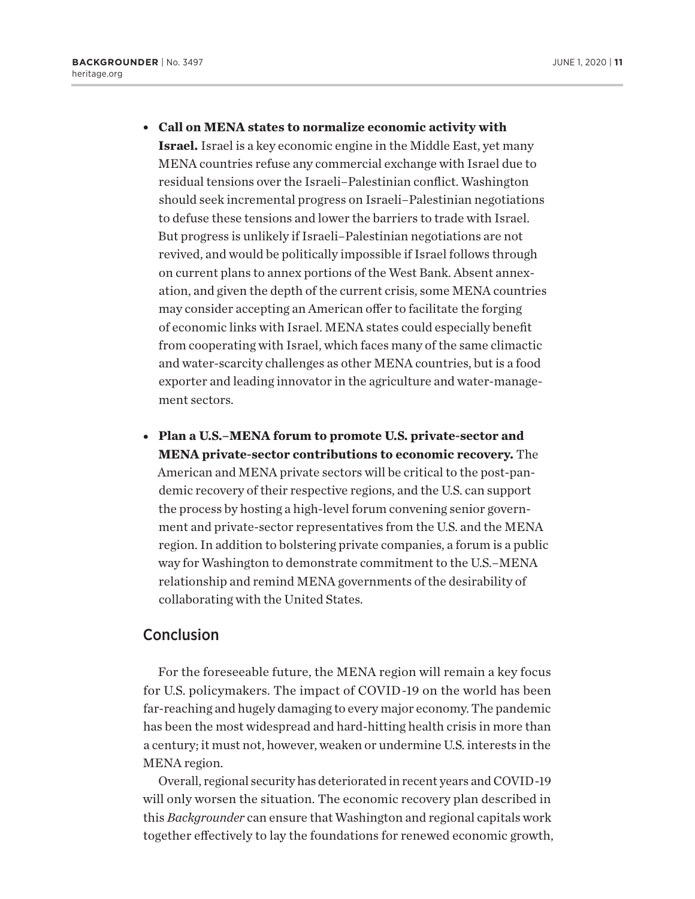<sup>l</sup> **Call on MENA states to normalize economic activity with** 

**Israel.** Israel is a key economic engine in the Middle East, yet many MENA countries refuse any commercial exchange with Israel due to residual tensions over the Israeli–Palestinian conflict. Washington should seek incremental progress on Israeli–Palestinian negotiations to defuse these tensions and lower the barriers to trade with Israel. But progress is unlikely if Israeli–Palestinian negotiations are not revived, and would be politically impossible if Israel follows through on current plans to annex portions of the West Bank. Absent annexation, and given the depth of the current crisis, some MENA countries may consider accepting an American offer to facilitate the forging of economic links with Israel. MENA states could especially benefit from cooperating with Israel, which faces many of the same climactic and water-scarcity challenges as other MENA countries, but is a food exporter and leading innovator in the agriculture and water-management sectors.

• Plan a U.S.–MENA forum to promote U.S. private-sector and **MENA private-sector contributions to economic recovery.** The American and MENA private sectors will be critical to the post-pandemic recovery of their respective regions, and the U.S. can support the process by hosting a high-level forum convening senior government and private-sector representatives from the U.S. and the MENA region. In addition to bolstering private companies, a forum is a public way for Washington to demonstrate commitment to the U.S.–MENA relationship and remind MENA governments of the desirability of collaborating with the United States.

### Conclusion

For the foreseeable future, the MENA region will remain a key focus for U.S. policymakers. The impact of COVID-19 on the world has been far-reaching and hugely damaging to every major economy. The pandemic has been the most widespread and hard-hitting health crisis in more than a century; it must not, however, weaken or undermine U.S. interests in the MENA region.

Overall, regional security has deteriorated in recent years and COVID-19 will only worsen the situation. The economic recovery plan described in this *Backgrounder* can ensure that Washington and regional capitals work together effectively to lay the foundations for renewed economic growth,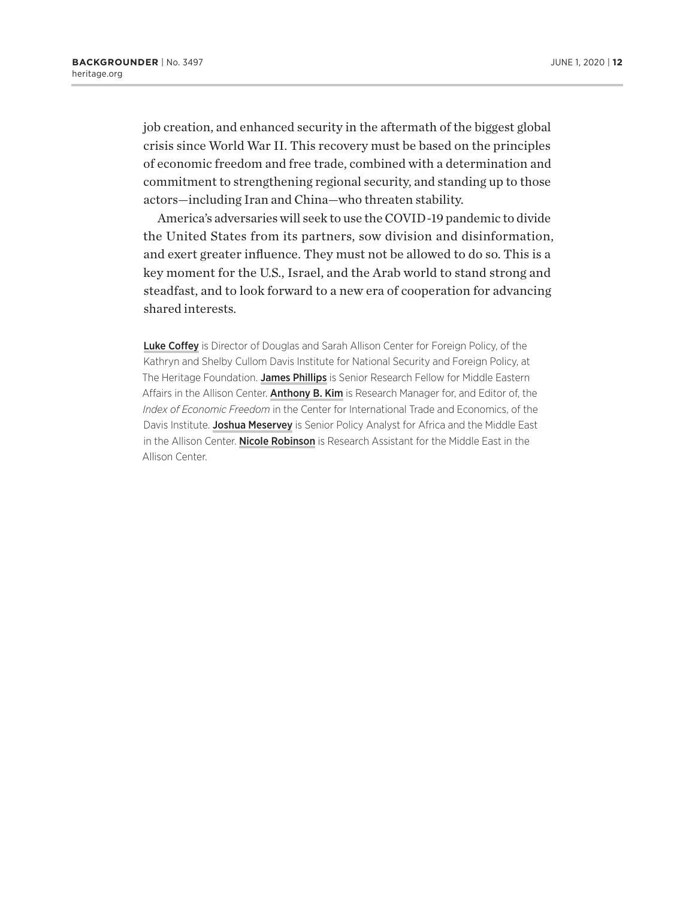job creation, and enhanced security in the aftermath of the biggest global crisis since World War II. This recovery must be based on the principles of economic freedom and free trade, combined with a determination and commitment to strengthening regional security, and standing up to those actors—including Iran and China—who threaten stability.

America's adversaries will seek to use the COVID-19 pandemic to divide the United States from its partners, sow division and disinformation, and exert greater influence. They must not be allowed to do so. This is a key moment for the U.S., Israel, and the Arab world to stand strong and steadfast, and to look forward to a new era of cooperation for advancing shared interests.

Luke Coffey is Director of Douglas and Sarah Allison Center for Foreign Policy, of the Kathryn and Shelby Cullom Davis Institute for National Security and Foreign Policy, at The Heritage Foundation. James Phillips is Senior Research Fellow for Middle Eastern Affairs in the Allison Center. Anthony B. Kim is Research Manager for, and Editor of, the *Index of Economic Freedom* in the Center for International Trade and Economics, of the Davis Institute. Joshua Meservey is Senior Policy Analyst for Africa and the Middle East in the Allison Center. Nicole Robinson is Research Assistant for the Middle East in the Allison Center.